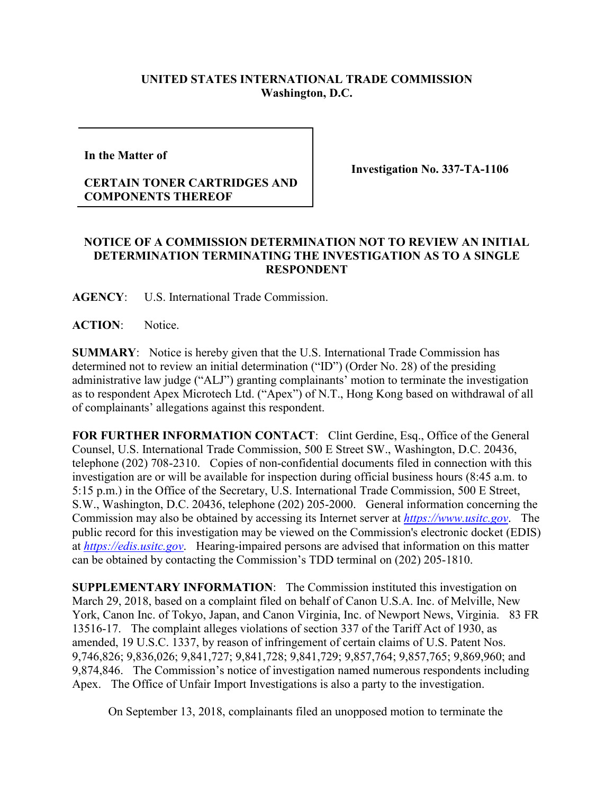## **UNITED STATES INTERNATIONAL TRADE COMMISSION Washington, D.C.**

**In the Matter of** 

## **CERTAIN TONER CARTRIDGES AND COMPONENTS THEREOF**

**Investigation No. 337-TA-1106**

## **NOTICE OF A COMMISSION DETERMINATION NOT TO REVIEW AN INITIAL DETERMINATION TERMINATING THE INVESTIGATION AS TO A SINGLE RESPONDENT**

**AGENCY**: U.S. International Trade Commission.

**ACTION**: Notice.

**SUMMARY**: Notice is hereby given that the U.S. International Trade Commission has determined not to review an initial determination ("ID") (Order No. 28) of the presiding administrative law judge ("ALJ") granting complainants' motion to terminate the investigation as to respondent Apex Microtech Ltd. ("Apex") of N.T., Hong Kong based on withdrawal of all of complainants' allegations against this respondent.

FOR FURTHER INFORMATION CONTACT: Clint Gerdine, Esq., Office of the General Counsel, U.S. International Trade Commission, 500 E Street SW., Washington, D.C. 20436, telephone (202) 708-2310. Copies of non-confidential documents filed in connection with this investigation are or will be available for inspection during official business hours (8:45 a.m. to 5:15 p.m.) in the Office of the Secretary, U.S. International Trade Commission, 500 E Street, S.W., Washington, D.C. 20436, telephone (202) 205-2000. General information concerning the Commission may also be obtained by accessing its Internet server at *[https://www.usitc.gov](https://www.usitc.gov/)*. The public record for this investigation may be viewed on the Commission's electronic docket (EDIS) at *[https://edis.usitc.gov](https://edis.usitc.gov/)*. Hearing-impaired persons are advised that information on this matter can be obtained by contacting the Commission's TDD terminal on (202) 205-1810.

**SUPPLEMENTARY INFORMATION**: The Commission instituted this investigation on March 29, 2018, based on a complaint filed on behalf of Canon U.S.A. Inc. of Melville, New York, Canon Inc. of Tokyo, Japan, and Canon Virginia, Inc. of Newport News, Virginia. 83 FR 13516-17. The complaint alleges violations of section 337 of the Tariff Act of 1930, as amended, 19 U.S.C. 1337, by reason of infringement of certain claims of U.S. Patent Nos. 9,746,826; 9,836,026; 9,841,727; 9,841,728; 9,841,729; 9,857,764; 9,857,765; 9,869,960; and 9,874,846. The Commission's notice of investigation named numerous respondents including Apex. The Office of Unfair Import Investigations is also a party to the investigation.

On September 13, 2018, complainants filed an unopposed motion to terminate the